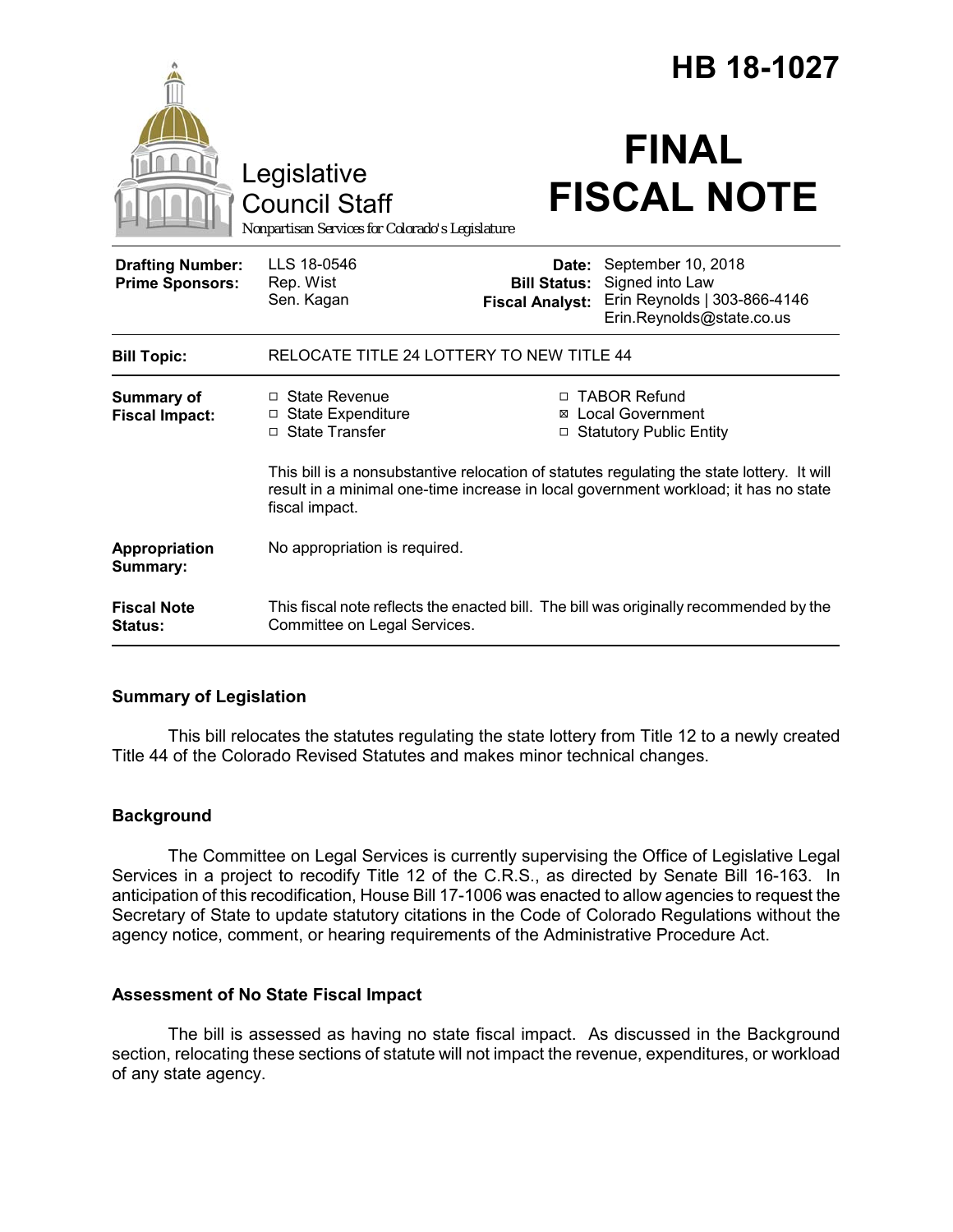|                                                   |                                                                                                                                                                                                     |                                                        | HB 18-1027                                                                                         |  |
|---------------------------------------------------|-----------------------------------------------------------------------------------------------------------------------------------------------------------------------------------------------------|--------------------------------------------------------|----------------------------------------------------------------------------------------------------|--|
|                                                   | Legislative<br><b>Council Staff</b><br>Nonpartisan Services for Colorado's Legislature                                                                                                              |                                                        | <b>FINAL</b><br><b>FISCAL NOTE</b>                                                                 |  |
| <b>Drafting Number:</b><br><b>Prime Sponsors:</b> | LLS 18-0546<br>Rep. Wist<br>Sen. Kagan                                                                                                                                                              | Date:<br><b>Bill Status:</b><br><b>Fiscal Analyst:</b> | September 10, 2018<br>Signed into Law<br>Erin Reynolds   303-866-4146<br>Erin.Reynolds@state.co.us |  |
| <b>Bill Topic:</b>                                | RELOCATE TITLE 24 LOTTERY TO NEW TITLE 44                                                                                                                                                           |                                                        |                                                                                                    |  |
| <b>Summary of</b><br><b>Fiscal Impact:</b>        | □ State Revenue<br>□ State Expenditure<br>$\Box$ State Transfer                                                                                                                                     | П.<br>⊠                                                | <b>TABOR Refund</b><br><b>Local Government</b><br>□ Statutory Public Entity                        |  |
|                                                   | This bill is a nonsubstantive relocation of statutes regulating the state lottery. It will<br>result in a minimal one-time increase in local government workload; it has no state<br>fiscal impact. |                                                        |                                                                                                    |  |
| Appropriation<br>Summary:                         | No appropriation is required.                                                                                                                                                                       |                                                        |                                                                                                    |  |
| <b>Fiscal Note</b><br>Status:                     | Committee on Legal Services.                                                                                                                                                                        |                                                        | This fiscal note reflects the enacted bill. The bill was originally recommended by the             |  |

# **Summary of Legislation**

This bill relocates the statutes regulating the state lottery from Title 12 to a newly created Title 44 of the Colorado Revised Statutes and makes minor technical changes.

# **Background**

The Committee on Legal Services is currently supervising the Office of Legislative Legal Services in a project to recodify Title 12 of the C.R.S., as directed by Senate Bill 16-163. In anticipation of this recodification, House Bill 17-1006 was enacted to allow agencies to request the Secretary of State to update statutory citations in the Code of Colorado Regulations without the agency notice, comment, or hearing requirements of the Administrative Procedure Act.

# **Assessment of No State Fiscal Impact**

The bill is assessed as having no state fiscal impact. As discussed in the Background section, relocating these sections of statute will not impact the revenue, expenditures, or workload of any state agency.